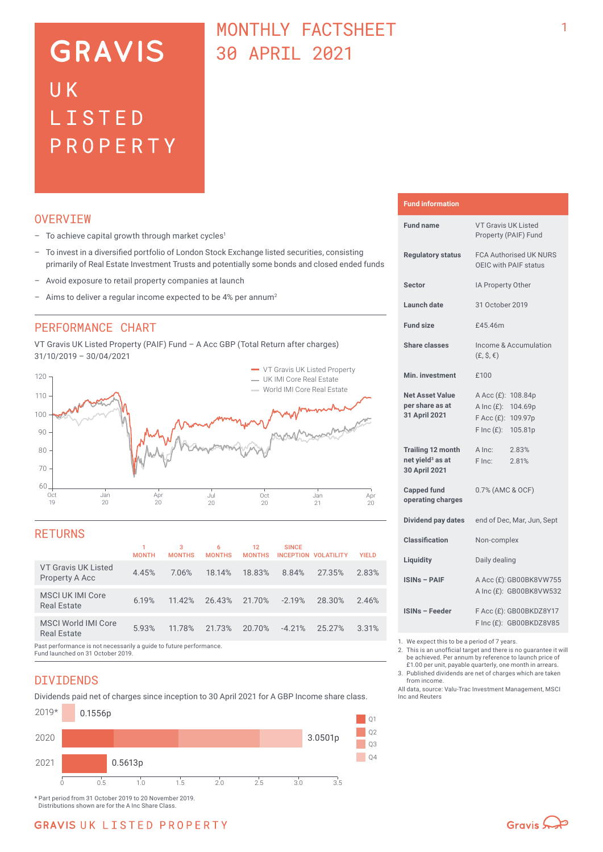# **GRAVIS** UK LISTED PROPERTY

## MONTHLY FACTSHEET 30 APRIL 2021

### **OVERVTEW**

- $-$  To achieve capital growth through market cycles<sup>1</sup>
- To invest in a diversified portfolio of London Stock Exchange listed securities, consisting primarily of Real Estate Investment Trusts and potentially some bonds and closed ended funds
- Avoid exposure to retail property companies at launch
- Aims to deliver a regular income expected to be 4% per annum<sup>2</sup>

### PERFORMANCE CHART

VT Gravis UK Listed Property (PAIF) Fund – A Acc GBP (Total Return after charges) 31/10/2019 – 30/04/2021



### **RETURNS**

|                                                                                                         | <b>MONTH</b> | 3<br><b>MONTHS</b> | 6<br><b>MONTHS</b> | 12<br><b>MONTHS</b> | <b>SINCE</b> | <b>INCEPTION VOLATILITY</b> | <b>YIELD</b> |
|---------------------------------------------------------------------------------------------------------|--------------|--------------------|--------------------|---------------------|--------------|-----------------------------|--------------|
| VT Gravis UK Listed<br>Property A Acc                                                                   | 4.45%        | 7.06%              | 18.14%             | 18.83%              | 8.84%        | 27.35%                      | 2.83%        |
| MSCI UK IMI Core<br>Real Estate                                                                         | 6.19%        | 11.42%             | 26.43%             | 21.70%              | $-2.19%$     | 28.30%                      | 2.46%        |
| MSCI World IMI Core<br>Real Estate                                                                      | 5.93%        | 11.78%             | 21.73%             | 20.70%              | $-4.21%$     | 25.27%                      | 3.31%        |
| Past performance is not necessarily a guide to future performance.<br>Fund launched on 31 October 2019. |              |                    |                    |                     |              |                             |              |

## DIVIDENDS

Dividends paid net of charges since inception to 30 April 2021 for A GBP Income share class.



**Fund information**

| <b>Fund name</b>                                                          | <b>VT Gravis UK Listed</b><br>Property (PAIF) Fund                                   |  |  |  |
|---------------------------------------------------------------------------|--------------------------------------------------------------------------------------|--|--|--|
| <b>Regulatory status</b>                                                  | <b>FCA Authorised UK NURS</b><br>OEIC with PAIF status                               |  |  |  |
| <b>Sector</b>                                                             | IA Property Other                                                                    |  |  |  |
| Launch date                                                               | 31 October 2019                                                                      |  |  |  |
| <b>Fund size</b>                                                          | £45.46m                                                                              |  |  |  |
| <b>Share classes</b>                                                      | Income & Accumulation<br>$(E, \hat{S}, \epsilon)$                                    |  |  |  |
| Min. investment                                                           | £100                                                                                 |  |  |  |
| <b>Net Asset Value</b><br>per share as at<br>31 April 2021                | A Acc (£): 108.84p<br>A Inc (£): 104.69p<br>F Acc (£): 109.97p<br>F Inc (£): 105.81p |  |  |  |
| <b>Trailing 12 month</b><br>net yield <sup>3</sup> as at<br>30 April 2021 | A Inc:<br>2.83%<br>F Inc:<br>2.81%                                                   |  |  |  |
| <b>Capped fund</b><br>operating charges                                   | 0.7% (AMC & OCF)                                                                     |  |  |  |
| <b>Dividend pay dates</b>                                                 | end of Dec, Mar, Jun, Sept                                                           |  |  |  |
| Classification                                                            | Non-complex                                                                          |  |  |  |
| Liquidity                                                                 | Daily dealing                                                                        |  |  |  |
| <b>ISINs - PAIF</b>                                                       | A Acc (£): GB00BK8VW755<br>A Inc (£): GB00BK8VW532                                   |  |  |  |
| <b>ISINs - Feeder</b>                                                     | F Acc (£): GB00BKDZ8Y17<br>F Inc (£): GB00BKDZ8V85                                   |  |  |  |

1. We expect this to be a period of 7 years.

- 2. This is an unofficial target and there is no guarantee it will be achieved. Per annum by reference to launch price of £1.00 per unit, payable quarterly, one month in arrears.
- 3. Published dividends are net of charges which are taken from income.

All data, source: Valu-Trac Investment Management, MSCI Inc and Reuters

Gravis  $\mathbb{Q}$ 

## **GRAVIS UK LISTED PROPERTY**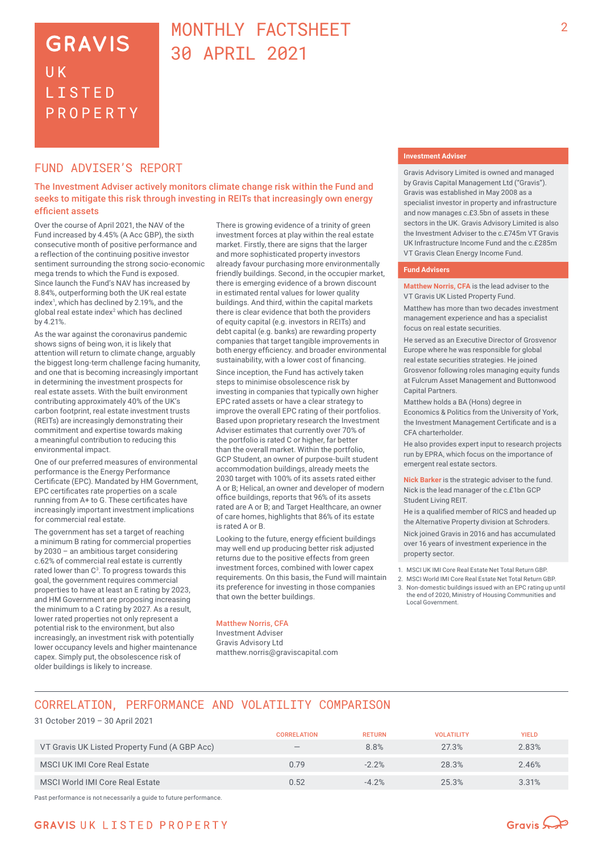## **GRAVIS** UK **LISTED** PROPERTY

## MONTHLY FACTSHEET 30 APRIL 2021

## FUND ADVISER'S REPORT

The Investment Adviser actively monitors climate change risk within the Fund and seeks to mitigate this risk through investing in REITs that increasingly own energy efficient assets

Over the course of April 2021, the NAV of the Fund increased by 4.45% (A Acc GBP), the sixth consecutive month of positive performance and a reflection of the continuing positive investor sentiment surrounding the strong socio-economic mega trends to which the Fund is exposed. Since launch the Fund's NAV has increased by 8.84%, outperforming both the UK real estate index<sup>1</sup>, which has declined by 2.19%, and the global real estate index<sup>2</sup> which has declined by 4.21%.

As the war against the coronavirus pandemic shows signs of being won, it is likely that attention will return to climate change, arguably the biggest long-term challenge facing humanity, and one that is becoming increasingly important in determining the investment prospects for real estate assets. With the built environment contributing approximately 40% of the UK's carbon footprint, real estate investment trusts (REITs) are increasingly demonstrating their commitment and expertise towards making a meaningful contribution to reducing this environmental impact.

One of our preferred measures of environmental performance is the Energy Performance Certificate (EPC). Mandated by HM Government, EPC certificates rate properties on a scale running from A+ to G. These certificates have increasingly important investment implications for commercial real estate.

The government has set a target of reaching a minimum B rating for commercial properties by 2030 – an ambitious target considering c.62% of commercial real estate is currently rated lower than  $C^3$ . To progress towards this goal, the government requires commercial properties to have at least an E rating by 2023, and HM Government are proposing increasing the minimum to a C rating by 2027. As a result, lower rated properties not only represent a potential risk to the environment, but also increasingly, an investment risk with potentially lower occupancy levels and higher maintenance capex. Simply put, the obsolescence risk of older buildings is likely to increase.

There is growing evidence of a trinity of green investment forces at play within the real estate market. Firstly, there are signs that the larger and more sophisticated property investors already favour purchasing more environmentally friendly buildings. Second, in the occupier market, there is emerging evidence of a brown discount in estimated rental values for lower quality buildings. And third, within the capital markets there is clear evidence that both the providers of equity capital (e.g. investors in REITs) and debt capital (e.g. banks) are rewarding property companies that target tangible improvements in both energy efficiency. and broader environmental sustainability, with a lower cost of financing.

Since inception, the Fund has actively taken steps to minimise obsolescence risk by investing in companies that typically own higher EPC rated assets or have a clear strategy to improve the overall EPC rating of their portfolios. Based upon proprietary research the Investment Adviser estimates that currently over 70% of the portfolio is rated C or higher, far better than the overall market. Within the portfolio, GCP Student, an owner of purpose-built student accommodation buildings, already meets the 2030 target with 100% of its assets rated either A or B; Helical, an owner and developer of modern office buildings, reports that 96% of its assets rated are A or B; and Target Healthcare, an owner of care homes, highlights that 86% of its estate is rated A or B.

Looking to the future, energy efficient buildings may well end up producing better risk adjusted returns due to the positive effects from green investment forces, combined with lower capex requirements. On this basis, the Fund will maintain its preference for investing in those companies that own the better buildings.

#### Matthew Norris, CFA

Investment Adviser Gravis Advisory Ltd matthew.norris@graviscapital.com

#### **Investment Adviser**

Gravis Advisory Limited is owned and managed by Gravis Capital Management Ltd ("Gravis"). Gravis was established in May 2008 as a specialist investor in property and infrastructure and now manages c.£3.5bn of assets in these sectors in the UK. Gravis Advisory Limited is also the Investment Adviser to the c.£745m VT Gravis UK Infrastructure Income Fund and the c.£285m VT Gravis Clean Energy Income Fund.

#### **Fund Advisers**

**Matthew Norris, CFA** is the lead adviser to the VT Gravis UK Listed Property Fund.

Matthew has more than two decades investment management experience and has a specialist focus on real estate securities.

He served as an Executive Director of Grosvenor Europe where he was responsible for global real estate securities strategies. He joined Grosvenor following roles managing equity funds at Fulcrum Asset Management and Buttonwood Capital Partners.

Matthew holds a BA (Hons) degree in Economics & Politics from the University of York, the Investment Management Certificate and is a CFA charterholder.

He also provides expert input to research projects run by EPRA, which focus on the importance of emergent real estate sectors.

**Nick Barker** is the strategic adviser to the fund. Nick is the lead manager of the c.£1bn GCP Student Living REIT.

He is a qualified member of RICS and headed up the Alternative Property division at Schroders. Nick joined Gravis in 2016 and has accumulated over 16 years of investment experience in the property sector.

1. MSCI UK IMI Core Real Estate Net Total Return GBP.

Local Government.

2. MSCI World IMI Core Real Estate Net Total Return GBP. 3. Non-domestic buildings issued with an EPC rating up until the end of 2020, Ministry of Housing Communities and

## CORRELATION, PERFORMANCE AND VOLATILITY COMPARISON

#### 31 October 2019 – 30 April 2021

|                                               | <b>CORRELATION</b>              | <b>RETURN</b> | <b>VOLATILITY</b> | <b>YIELD</b> |
|-----------------------------------------------|---------------------------------|---------------|-------------------|--------------|
| VT Gravis UK Listed Property Fund (A GBP Acc) | $\hspace{0.1mm}-\hspace{0.1mm}$ | 8.8%          | 27.3%             | 2.83%        |
| <b>MSCI UK IMI Core Real Estate</b>           | 0.79                            | $-2.2%$       | 28.3%             | 2.46%        |
| MSCI World IMI Core Real Estate               | 0.52                            | $-4.2%$       | 25.3%             | 3.31%        |

Past performance is not necessarily a guide to future performance.